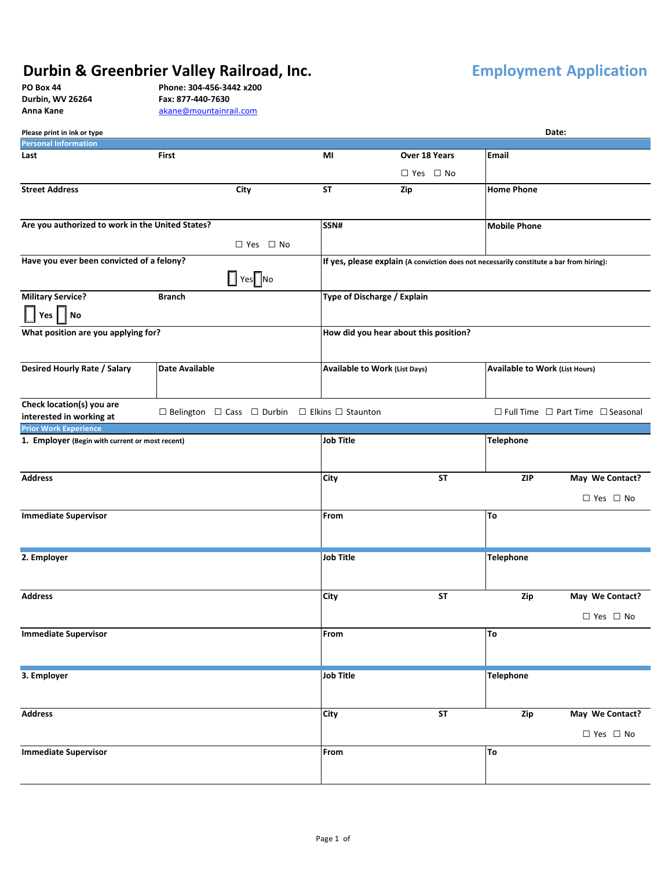## **Durbin & Greenbrier Valley Railroad, Inc. Employment** Application

| PO Box 44      |
|----------------|
| Durbin, WV 262 |
| Anna Kano      |

**PO Box 44 Phone: 304-456-3442 x200 Durbin, WV 26264 Fax: 877-440-7630**  Anna Kane **[akane@mountainrail.com](mailto:akane@mountainrail.com)** 

| Date:<br>Please print in ink or type                  |                                                                                          |                                       |                      |                                       |                                                   |  |
|-------------------------------------------------------|------------------------------------------------------------------------------------------|---------------------------------------|----------------------|---------------------------------------|---------------------------------------------------|--|
| <b>Personal Information</b>                           |                                                                                          |                                       |                      |                                       |                                                   |  |
| Last                                                  | First                                                                                    | MI                                    | Over 18 Years        | Email                                 |                                                   |  |
|                                                       |                                                                                          |                                       | $\Box$ Yes $\Box$ No |                                       |                                                   |  |
| <b>Street Address</b>                                 | City                                                                                     | <b>ST</b>                             | Zip                  | <b>Home Phone</b>                     |                                                   |  |
|                                                       |                                                                                          |                                       |                      |                                       |                                                   |  |
| Are you authorized to work in the United States?      |                                                                                          | SSN#                                  |                      | <b>Mobile Phone</b>                   |                                                   |  |
|                                                       | $\Box$ Yes $\Box$ No                                                                     |                                       |                      |                                       |                                                   |  |
| Have you ever been convicted of a felony?             | If yes, please explain (A conviction does not necessarily constitute a bar from hiring): |                                       |                      |                                       |                                                   |  |
| <b>Military Service?</b>                              | <b>Branch</b>                                                                            | Type of Discharge / Explain           |                      |                                       |                                                   |  |
| <b>No</b><br>Yes                                      |                                                                                          |                                       |                      |                                       |                                                   |  |
| What position are you applying for?                   |                                                                                          | How did you hear about this position? |                      |                                       |                                                   |  |
| <b>Desired Hourly Rate / Salary</b>                   | <b>Date Available</b>                                                                    | Available to Work (List Days)         |                      | <b>Available to Work (List Hours)</b> |                                                   |  |
| Check location(s) you are<br>interested in working at | $\Box$ Belington $\Box$ Cass $\Box$ Durbin $\Box$ Elkins $\Box$ Staunton                 |                                       |                      |                                       | $\Box$ Full Time $\Box$ Part Time $\Box$ Seasonal |  |
| <b>Prior Work Experience</b>                          |                                                                                          |                                       |                      |                                       |                                                   |  |
| 1. Employer (Begin with current or most recent)       |                                                                                          | Job Title                             |                      | Telephone                             |                                                   |  |
|                                                       |                                                                                          |                                       |                      |                                       |                                                   |  |
| <b>Address</b>                                        |                                                                                          | City                                  | ST                   | <b>ZIP</b>                            | May We Contact?                                   |  |
|                                                       |                                                                                          |                                       |                      |                                       | $\Box$ Yes $\Box$ No                              |  |
| <b>Immediate Supervisor</b>                           |                                                                                          | From                                  |                      | To                                    |                                                   |  |
| 2. Employer                                           |                                                                                          | <b>Job Title</b>                      |                      | <b>Telephone</b>                      |                                                   |  |
|                                                       |                                                                                          |                                       |                      |                                       |                                                   |  |
| <b>Address</b>                                        |                                                                                          | City                                  | ST                   | Zip                                   | May We Contact?                                   |  |
|                                                       |                                                                                          |                                       |                      |                                       | $\Box$ Yes $\Box$ No                              |  |
| <b>Immediate Supervisor</b>                           |                                                                                          | From                                  |                      | To                                    |                                                   |  |
|                                                       |                                                                                          |                                       |                      |                                       |                                                   |  |
| 3. Employer                                           |                                                                                          | <b>Job Title</b>                      |                      | <b>Telephone</b>                      |                                                   |  |
| <b>Address</b>                                        |                                                                                          | City                                  | <b>ST</b>            | Zip                                   | May We Contact?                                   |  |
|                                                       |                                                                                          |                                       |                      |                                       | $\square$ Yes $\square$ No                        |  |
| <b>Immediate Supervisor</b>                           |                                                                                          | From                                  |                      | To                                    |                                                   |  |
|                                                       |                                                                                          |                                       |                      |                                       |                                                   |  |